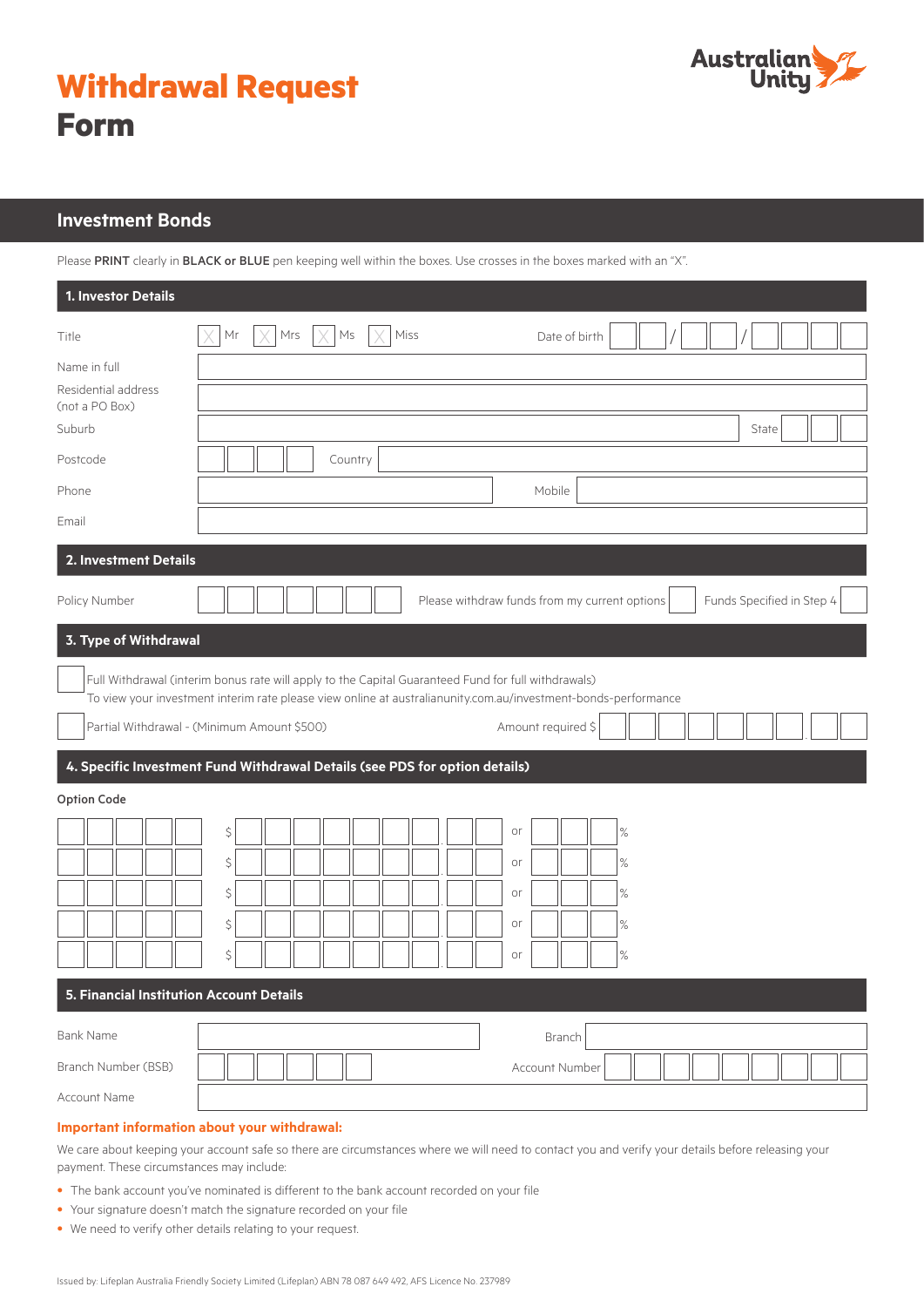

| <b>Withdrawal Request</b> |  |
|---------------------------|--|
| <b>Form</b>               |  |

# **Investment Bonds**

Please PRINT clearly in BLACK or BLUE pen keeping well within the boxes. Use crosses in the boxes marked with an "X".

| 1. Investor Details                                                         |                                                                                                                |  |  |
|-----------------------------------------------------------------------------|----------------------------------------------------------------------------------------------------------------|--|--|
| Title                                                                       | Mr<br>Mrs<br>Ms<br>Miss<br>Date of birth                                                                       |  |  |
| Name in full                                                                |                                                                                                                |  |  |
| Residential address<br>(not a PO Box)                                       |                                                                                                                |  |  |
| Suburb                                                                      | State                                                                                                          |  |  |
| Postcode                                                                    | Country                                                                                                        |  |  |
| Phone                                                                       | Mobile                                                                                                         |  |  |
| Email                                                                       |                                                                                                                |  |  |
| 2. Investment Details                                                       |                                                                                                                |  |  |
| Policy Number                                                               | Funds Specified in Step 4<br>Please withdraw funds from my current options                                     |  |  |
| 3. Type of Withdrawal                                                       |                                                                                                                |  |  |
|                                                                             | Full Withdrawal (interim bonus rate will apply to the Capital Guaranteed Fund for full withdrawals)            |  |  |
|                                                                             | To view your investment interim rate please view online at australianunity.com.au/investment-bonds-performance |  |  |
|                                                                             | Partial Withdrawal - (Minimum Amount \$500)<br>Amount required \$                                              |  |  |
| 4. Specific Investment Fund Withdrawal Details (see PDS for option details) |                                                                                                                |  |  |
| <b>Option Code</b>                                                          |                                                                                                                |  |  |
|                                                                             | \$<br>$\%$<br>or                                                                                               |  |  |
|                                                                             | \$<br>$\%$<br>or                                                                                               |  |  |
|                                                                             | \$<br>$\%$<br>or                                                                                               |  |  |
|                                                                             | \$<br>$\%$<br>or                                                                                               |  |  |
|                                                                             | \$<br>$\%$<br>or                                                                                               |  |  |
| 5. Financial Institution Account Details                                    |                                                                                                                |  |  |
| <b>Bank Name</b>                                                            | Branch                                                                                                         |  |  |
| Branch Number (BSB)                                                         | Account Number                                                                                                 |  |  |
| Account Name                                                                |                                                                                                                |  |  |

## **Important information about your withdrawal:**

We care about keeping your account safe so there are circumstances where we will need to contact you and verify your details before releasing your payment. These circumstances may include:

- The bank account you've nominated is different to the bank account recorded on your file
- Your signature doesn't match the signature recorded on your file
- We need to verify other details relating to your request.